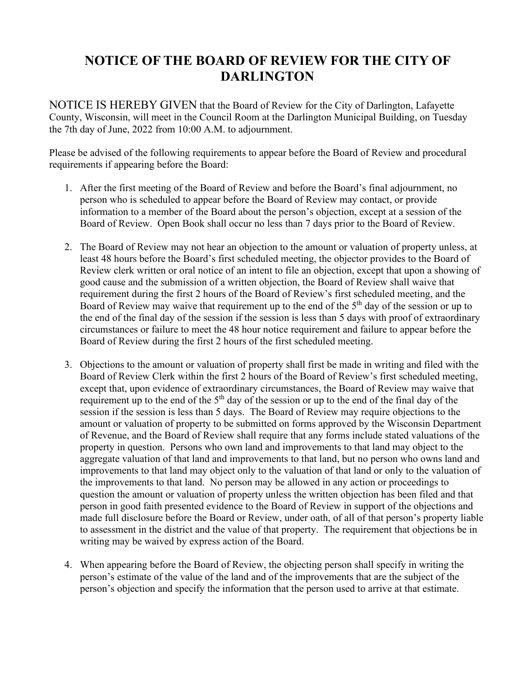## **NOTICE OF THE BOARD OF REVIEW FOR THE CITY OF DARLINGTON**

NOTICE IS HEREBY GIVEN that the Board of Review for the City of Darlington, Lafayette County, Wisconsin, will meet in the Council Room at the Darlington Municipal Building, on Tuesday the 7th day of June, 2022 from 10:00 A.M. to adjournment.

Please be advised of the following requirements to appear before the Board of Review and procedural requirements if appearing before the Board:

- 1. After the first meeting of the Board of Review and before the Board's final adjournment, no person who is scheduled to appear before the Board of Review may contact, or provide information to a member of the Board about the person's objection, except at a session of the Board of Review. Open Book shall occur no less than 7 days prior to the Board of Review.
- 2. The Board of Review may not hear an objection to the amount or valuation of property unless, at least 48 hours before the Board's first scheduled meeting, the objector provides to the Board of Review clerk written or oral notice of an intent to file an objection, except that upon a showing of good cause and the submission of a written objection, the Board of Review shall waive that requirement during the first 2 hours of the Board of Review's first scheduled meeting, and the Board of Review may waive that requirement up to the end of the  $5<sup>th</sup>$  day of the session or up to the end of the final day of the session if the session is less than 5 days with proof of extraordinary circumstances or failure to meet the 48 hour notice requirement and failure to appear before the Board of Review during the first 2 hours of the first scheduled meeting.
- 3. Objections to the amount or valuation of property shall first be made in writing and filed with the Board of Review Clerk within the first 2 hours of the Board of Review's first scheduled meeting, except that, upon evidence of extraordinary circumstances, the Board of Review may waive that requirement up to the end of the  $5<sup>th</sup>$  day of the session or up to the end of the final day of the session if the session is less than 5 days. The Board of Review may require objections to the amount or valuation of property to be submitted on forms approved by the Wisconsin Department of Revenue, and the Board of Review shall require that any forms include stated valuations of the property in question. Persons who own land and improvements to that land may object to the aggregate valuation of that land and improvements to that land, but no person who owns land and improvements to that land may object only to the valuation of that land or only to the valuation of the improvements to that land. No person may be allowed in any action or proceedings to question the amount or valuation of property unless the written objection has been filed and that person in good faith presented evidence to the Board of Review in support of the objections and made full disclosure before the Board or Review, under oath, of all of that person's property liable to assessment in the district and the value of that property. The requirement that objections be in writing may be waived by express action of the Board.
- 4. When appearing before the Board of Review, the objecting person shall specify in writing the person's estimate of the value of the land and of the improvements that are the subject of the person's objection and specify the information that the person used to arrive at that estimate.